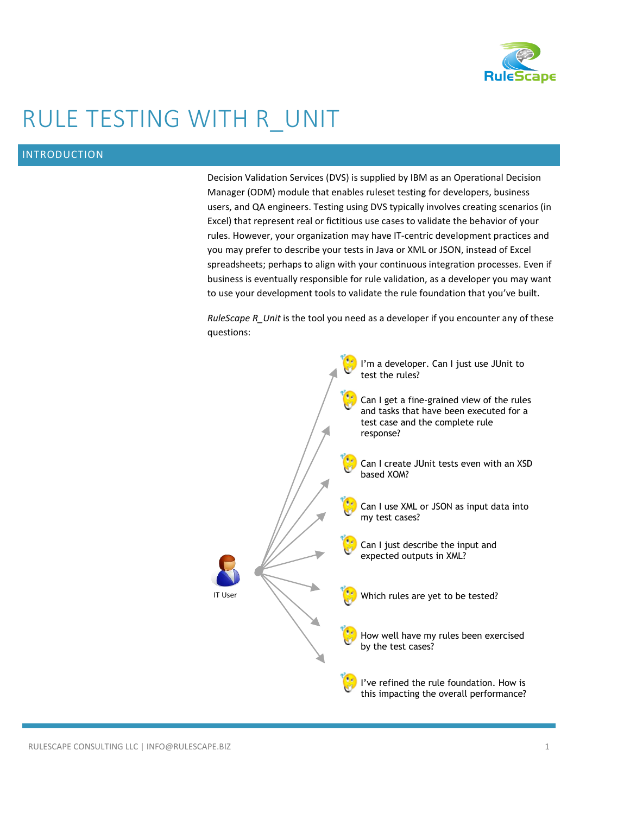

# RULE TESTING WITH R\_UNIT

## INTRODUCTION

Decision Validation Services (DVS) is supplied by IBM as an Operational Decision Manager (ODM) module that enables ruleset testing for developers, business users, and QA engineers. Testing using DVS typically involves creating scenarios (in Excel) that represent real or fictitious use cases to validate the behavior of your rules. However, your organization may have IT-centric development practices and you may prefer to describe your tests in Java or XML or JSON, instead of Excel spreadsheets; perhaps to align with your continuous integration processes. Even if business is eventually responsible for rule validation, as a developer you may want to use your development tools to validate the rule foundation that you've built.

*RuleScape R\_Unit* is the tool you need as a developer if you encounter any of these questions:

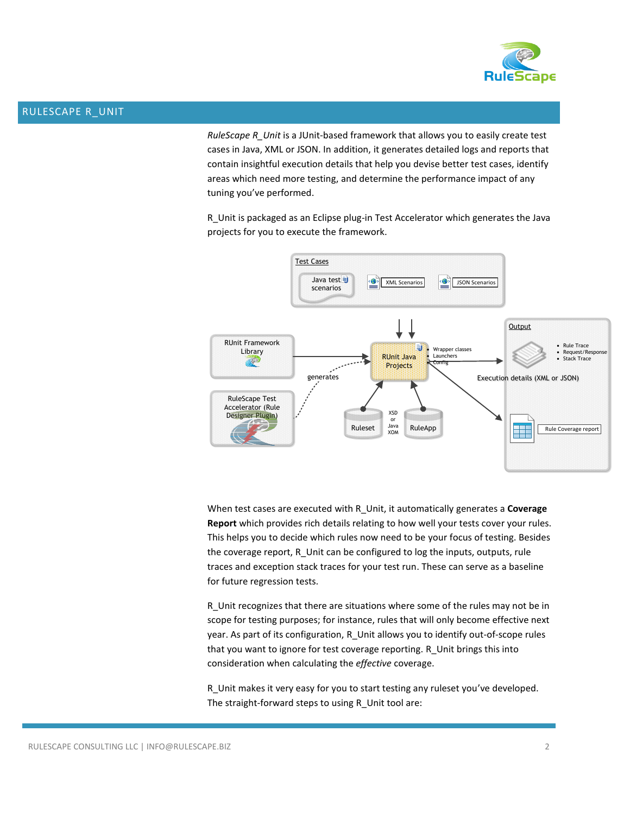

### RULESCAPE R\_UNIT

*RuleScape R\_Unit* is a JUnit-based framework that allows you to easily create test cases in Java, XML or JSON. In addition, it generates detailed logs and reports that contain insightful execution details that help you devise better test cases, identify areas which need more testing, and determine the performance impact of any tuning you've performed.

R\_Unit is packaged as an Eclipse plug-in Test Accelerator which generates the Java projects for you to execute the framework.



When test cases are executed with R\_Unit, it automatically generates a **Coverage Report** which provides rich details relating to how well your tests cover your rules. This helps you to decide which rules now need to be your focus of testing. Besides the coverage report, R\_Unit can be configured to log the inputs, outputs, rule traces and exception stack traces for your test run. These can serve as a baseline for future regression tests.

R\_Unit recognizes that there are situations where some of the rules may not be in scope for testing purposes; for instance, rules that will only become effective next year. As part of its configuration, R\_Unit allows you to identify out-of-scope rules that you want to ignore for test coverage reporting. R\_Unit brings this into consideration when calculating the *effective* coverage.

R\_Unit makes it very easy for you to start testing any ruleset you've developed. The straight-forward steps to using R\_Unit tool are: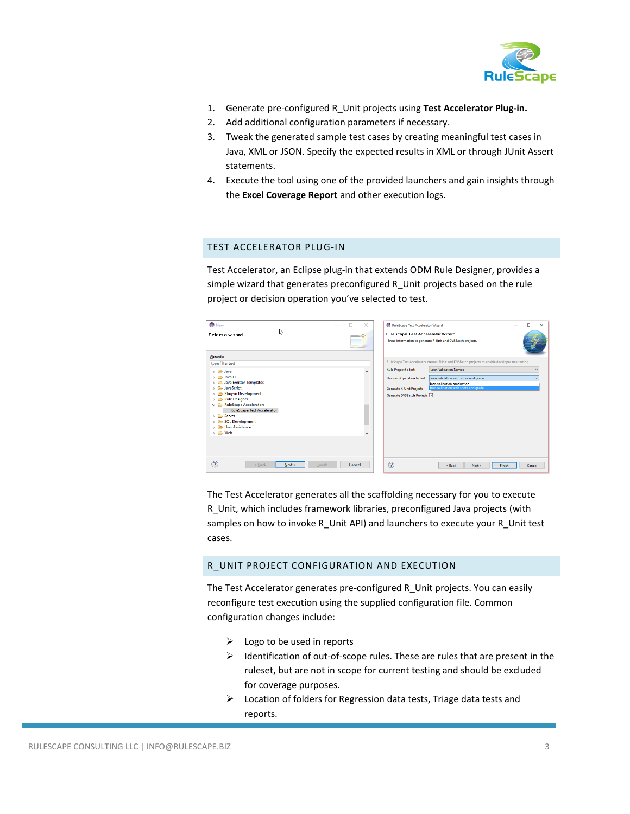

- 1. Generate pre-configured R\_Unit projects using **Test Accelerator Plug-in.**
- 2. Add additional configuration parameters if necessary.
- 3. Tweak the generated sample test cases by creating meaningful test cases in Java, XML or JSON. Specify the expected results in XML or through JUnit Assert statements.
- 4. Execute the tool using one of the provided launchers and gain insights through the **Excel Coverage Report** and other execution logs.

#### TEST ACCELERATOR PLUG-IN

Test Accelerator, an Eclipse plug-in that extends ODM Rule Designer, provides a simple wizard that generates preconfigured R\_Unit projects based on the rule project or decision operation you've selected to test.

| <b>O</b> New<br>ß<br>Select a wizard                                                                                                                                                                                                                                                                                                                                                        | п<br>$\times$<br>$\sim$ | $\Box$<br>RuleScape Test Accelerator Wizard<br>$\times$<br>RuleScape Test Accelerator Wizard<br>Enter information to generate R-Unit and DVSBatch projects.                                                                                                                                                                                                                                         |
|---------------------------------------------------------------------------------------------------------------------------------------------------------------------------------------------------------------------------------------------------------------------------------------------------------------------------------------------------------------------------------------------|-------------------------|-----------------------------------------------------------------------------------------------------------------------------------------------------------------------------------------------------------------------------------------------------------------------------------------------------------------------------------------------------------------------------------------------------|
| <b>Wizards:</b><br>type filter text<br>> & Java<br>> <b>Cab</b> Java EE<br>Java Emitter Templates<br><b>B</b> JavaScript<br>$\mathcal{P}$<br>Plug-in Development<br>Rule Designer<br>$\mathcal{P}$<br>RuleScape Accelerators<br><b>RuleScape Test Accelerator</b><br>$\angle$ $\triangle$ Server<br>SQL Development<br>> <b>B</b> User Assistance<br>$\rightarrow$ $\rightleftharpoons$ Web |                         | RuleScape Test Accelerator creates RUnit and DVSBatch projects to enable developer rule testing.<br><b>Loan Validation Service</b><br><b>Rule Project to test:</b><br>$\sim$<br>loan validation with score and grade<br><b>Decision Operation to test:</b><br>loan validation production<br>loan validation with score and grade<br><b>Generate R-Unit Projects</b><br>Generate DVSBatch Projects ⊠ |
| ?<br>$<$ Back<br>Finish<br>Next                                                                                                                                                                                                                                                                                                                                                             | Cancel                  | $\circledR$<br>Finish<br>$<$ Back<br>Next ><br>Cancel                                                                                                                                                                                                                                                                                                                                               |

The Test Accelerator generates all the scaffolding necessary for you to execute R\_Unit, which includes framework libraries, preconfigured Java projects (with samples on how to invoke R\_Unit API) and launchers to execute your R\_Unit test cases.

## R\_UNIT PROJECT CONFIGURATION AND EXECUTION

The Test Accelerator generates pre-configured R\_Unit projects. You can easily reconfigure test execution using the supplied configuration file. Common configuration changes include:

- $\triangleright$  Logo to be used in reports
- $\triangleright$  Identification of out-of-scope rules. These are rules that are present in the ruleset, but are not in scope for current testing and should be excluded for coverage purposes.
- $\triangleright$  Location of folders for Regression data tests, Triage data tests and reports.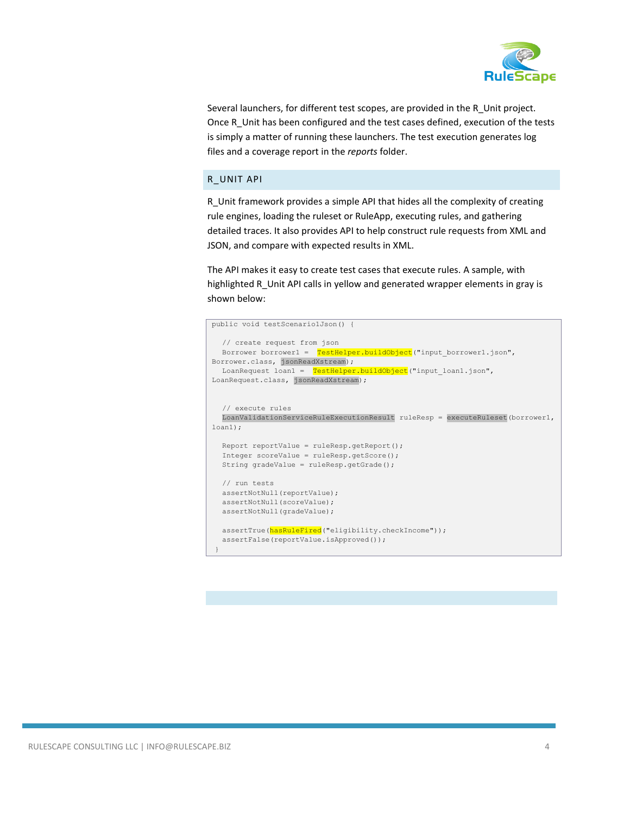

Several launchers, for different test scopes, are provided in the R\_Unit project. Once R\_Unit has been configured and the test cases defined, execution of the tests is simply a matter of running these launchers. The test execution generates log files and a coverage report in the *reports* folder.

## R\_UNIT API

R\_Unit framework provides a simple API that hides all the complexity of creating rule engines, loading the ruleset or RuleApp, executing rules, and gathering detailed traces. It also provides API to help construct rule requests from XML and JSON, and compare with expected results in XML.

The API makes it easy to create test cases that execute rules. A sample, with highlighted R Unit API calls in yellow and generated wrapper elements in gray is shown below:

```
public void testScenario1Json() {
  // create request from json
  Borrower borrower1 = TestHelper.buildObject("input_borrower1.json",
Borrower.class, jsonReadXstream);
 LoanRequest loan1 = TestHelper.buildObject ("input loan1.json",
LoanRequest.class, jsonReadXstream);
  // execute rules
  LoanValidationServiceRuleExecutionResult ruleResp = executeRuleset(borrower1, 
loan1);
  Report reportValue = ruleResp.getReport();
  Integer scoreValue = ruleResp.getScore();
  String gradeValue = ruleResp.getGrade();
  // run tests
  assertNotNull(reportValue);
 assertNotNull(scoreValue);
  assertNotNull(gradeValue);
  assertTrue(hasRuleFired("eligibility.checkIncome"));
  assertFalse(reportValue.isApproved());
 }
```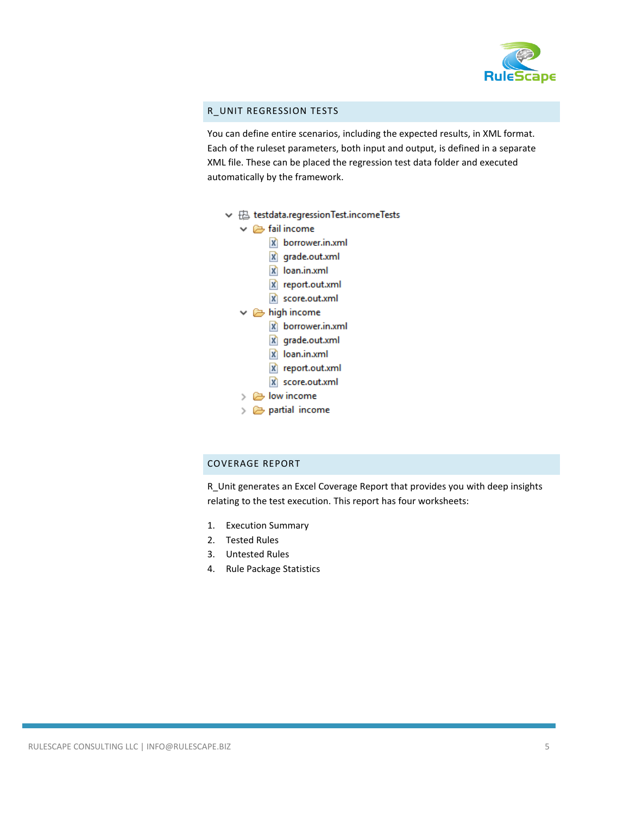

## R\_UNIT REGRESSION TESTS

You can define entire scenarios, including the expected results, in XML format. Each of the ruleset parameters, both input and output, is defined in a separate XML file. These can be placed the regression test data folder and executed automatically by the framework.

- ↓ + B testdata.regressionTest.incomeTests
	- $\vee \triangleright$  fail income
		- x borrower.in.xml
		- X grade.out.xml
		- X loan.in.xml
		- X report.out.xml
		- X score.out.xml
	- $\vee \triangleright$  high income
		- x borrower.in.xml
		- X grade.out.xml
		- X loan.in.xml
		- X report.out.xml
		- X score.out.xml
	- $\triangleright \triangleright$  low income
	- $\geq$   $\geq$  partial income

## COVERAGE REPORT

R\_Unit generates an Excel Coverage Report that provides you with deep insights relating to the test execution. This report has four worksheets:

- 1. Execution Summary
- 2. Tested Rules
- 3. Untested Rules
- 4. Rule Package Statistics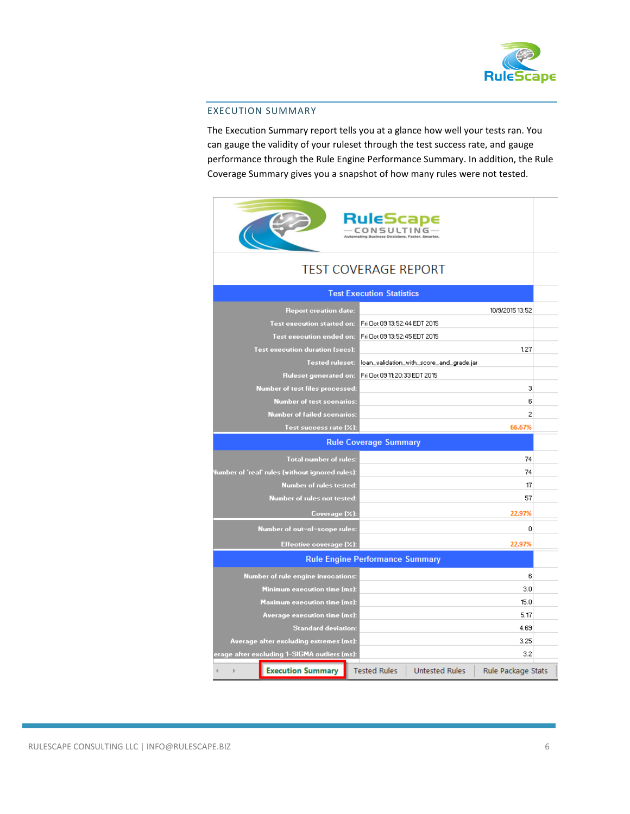

### EXECUTION SUMMARY

The Execution Summary report tells you at a glance how well your tests ran. You can gauge the validity of your ruleset through the test success rate, and gauge performance through the Rule Engine Performance Summary. In addition, the Rule Coverage Summary gives you a snapshot of how many rules were not tested.

|                                                 | RuleScape<br>CONSULTING                |                                          |                    |  |  |
|-------------------------------------------------|----------------------------------------|------------------------------------------|--------------------|--|--|
| <b>TEST COVERAGE REPORT</b>                     |                                        |                                          |                    |  |  |
| <b>Test Execution Statistics</b>                |                                        |                                          |                    |  |  |
| <b>Report creation date:</b>                    |                                        |                                          | 10/9/2015 13:52    |  |  |
| <b>Test execution started on:</b>               | Fri Oct 09 13:52:44 EDT 2015           |                                          |                    |  |  |
| Test execution ended on:                        | Fri Oct 09 13:52:45 EDT 2015           |                                          |                    |  |  |
| Test execution duration (secs):                 |                                        |                                          | 1.27               |  |  |
| <b>Tested ruleset:</b>                          |                                        | loan_validation_with_score_and_grade.jar |                    |  |  |
| Ruleset generated on:                           | Fri Oct 09 11:20:33 EDT 2015           |                                          |                    |  |  |
| Number of test files processed:                 |                                        |                                          | 3                  |  |  |
| <b>Number of test scenarios:</b>                |                                        |                                          | 6                  |  |  |
| <b>Number of failed scenarios:</b>              |                                        |                                          | $\overline{c}$     |  |  |
| Test success rate (%):                          |                                        |                                          | 66.67%             |  |  |
|                                                 | <b>Rule Coverage Summary</b>           |                                          |                    |  |  |
| <b>Total number of rules:</b>                   |                                        |                                          | 74                 |  |  |
| lumber of 'real' rules (without ignored rules): |                                        |                                          | 74                 |  |  |
| Number of rules tested:                         |                                        |                                          | 17                 |  |  |
| Number of rules not tested:                     |                                        |                                          | 57                 |  |  |
| Coverage (%):                                   |                                        |                                          | 22.97%             |  |  |
| Number of out-of-scope rules:                   |                                        |                                          | 0                  |  |  |
| Effective coverage (%):                         |                                        |                                          | 22.97%             |  |  |
|                                                 | <b>Rule Engine Performance Summary</b> |                                          |                    |  |  |
| <b>Number of rule engine invocations:</b>       |                                        |                                          | 6                  |  |  |
| <b>Minimum execution time (ms):</b>             |                                        |                                          | 3.0                |  |  |
| <b>Maximum execution time (ms):</b>             |                                        |                                          | 15.0               |  |  |
| Average execution time (ms):                    |                                        |                                          | 5.17               |  |  |
| <b>Standard deviation:</b>                      |                                        |                                          | 4.69               |  |  |
| Average after excluding extremes (ms):          |                                        |                                          | 3.25               |  |  |
| erage after excluding 1–SIGMA outliers (ms):    |                                        |                                          | 3.2                |  |  |
| <b>Execution Summary</b>                        | <b>Tested Rules</b>                    | <b>Untested Rules</b>                    | Rule Package Stats |  |  |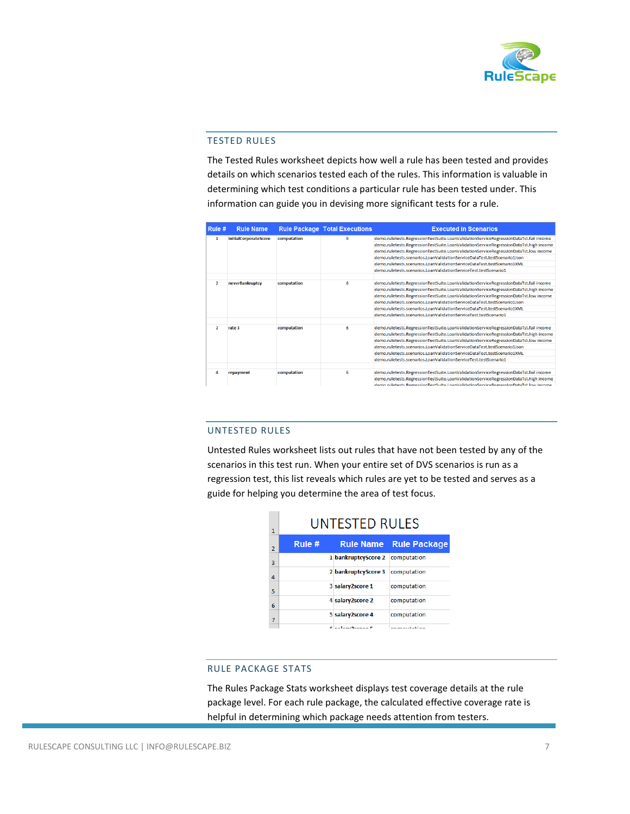

#### TESTED RULES

The Tested Rules worksheet depicts how well a rule has been tested and provides details on which scenarios tested each of the rules. This information is valuable in determining which test conditions a particular rule has been tested under. This information can guide you in devising more significant tests for a rule.

| Rule #         | <b>Rule Name</b>             |             | <b>Rule Package Total Executions</b> | <b>Executed in Scenarios</b>                                                          |
|----------------|------------------------------|-------------|--------------------------------------|---------------------------------------------------------------------------------------|
| 1              | <b>initialCorporateScore</b> | computation | 6                                    | demo.ruletests.RegressionTestSuite.LoanValidationServiceRegressionDataTst.fail income |
|                |                              |             |                                      | demo.ruletests.RegressionTestSuite.LoanValidationServiceRegressionDataTst.high income |
|                |                              |             |                                      | demo.ruletests.RegressionTestSuite.LoanValidationServiceRegressionDataTst.low income  |
|                |                              |             |                                      | demo.ruletests.scenarios.LoanValidationServiceDataTest.testScenario1Json              |
|                |                              |             |                                      | demo.ruletests.scenarios.LoanValidationServiceDataTest.testScenario1XML               |
|                |                              |             |                                      | demo.ruletests.scenarios.LoanValidationServiceTest.testScenario1                      |
| $\overline{2}$ | neverBankruptcy              | computation | 6                                    | demo.ruletests.RegressionTestSuite.LoanValidationServiceRegressionDataTst.fail income |
|                |                              |             |                                      | demo.ruletests.RegressionTestSuite.LoanValidationServiceRegressionDataTst.high income |
|                |                              |             |                                      | demo.ruletests.RegressionTestSuite.LoanValidationServiceRegressionDataTst.low income  |
|                |                              |             |                                      | demo.ruletests.scenarios.LoanValidationServiceDataTest.testScenario1Json              |
|                |                              |             |                                      | demo.ruletests.scenarios.LoanValidationServiceDataTest.testScenario1XML               |
|                |                              |             |                                      | demo.ruletests.scenarios.LoanValidationServiceTest.testScenario1                      |
| R,             | rate 3                       | computation | 6                                    | demo.ruletests.RegressionTestSuite.LoanValidationServiceRegressionDataTst.fail income |
|                |                              |             |                                      | demo.ruletests.RegressionTestSuite.LoanValidationServiceRegressionDataTst.high income |
|                |                              |             |                                      | demo.ruletests.RegressionTestSuite.LoanValidationServiceRegressionDataTst.low income  |
|                |                              |             |                                      | demo.ruletests.scenarios.LoanValidationServiceDataTest.testScenario1Json              |
|                |                              |             |                                      | demo.ruletests.scenarios.LoanValidationServiceDataTest.testScenario1XML               |
|                |                              |             |                                      | demo.ruletests.scenarios.LoanValidationServiceTest.testScenario1                      |
| 4              | repayment                    | computation | 6                                    | demo.ruletests.RegressionTestSuite.LoanValidationServiceRegressionDataTst.fail income |
|                |                              |             |                                      | demo.ruletests.RegressionTestSuite.LoanValidationServiceRegressionDataTst.high income |
|                |                              |             |                                      | demo ruletests RegressionTestSuite LoanValidationServiceRegressionDataTst low income  |

### UNTESTED RULES

Untested Rules worksheet lists out rules that have not been tested by any of the scenarios in this test run. When your entire set of DVS scenarios is run as a regression test, this list reveals which rules are yet to be tested and serves as a guide for helping you determine the area of test focus.

| 1              | <b>UNTESTED RULES</b> |                     |                                                                                                                                                                                                                                |  |
|----------------|-----------------------|---------------------|--------------------------------------------------------------------------------------------------------------------------------------------------------------------------------------------------------------------------------|--|
| $\overline{2}$ | Rule $#$              |                     | <b>Rule Name</b> Rule Package                                                                                                                                                                                                  |  |
| 3              |                       | 1 bankruptcyScore 2 | computation                                                                                                                                                                                                                    |  |
| $\overline{a}$ |                       | 2 bankruptcyScore 3 | computation                                                                                                                                                                                                                    |  |
| 5              |                       | 3 salary2score 1    | computation                                                                                                                                                                                                                    |  |
| 6              |                       | 4 salary2score 2    | computation                                                                                                                                                                                                                    |  |
| 7              |                       | 5 salary2score 4    | computation                                                                                                                                                                                                                    |  |
|                |                       | Claster Oceans C    | and the contract of the first state of the contract of the contract of the contract of the contract of the contract of the contract of the contract of the contract of the contract of the contract of the contract of the con |  |

## RULE PACKAGE STATS

The Rules Package Stats worksheet displays test coverage details at the rule package level. For each rule package, the calculated effective coverage rate is helpful in determining which package needs attention from testers.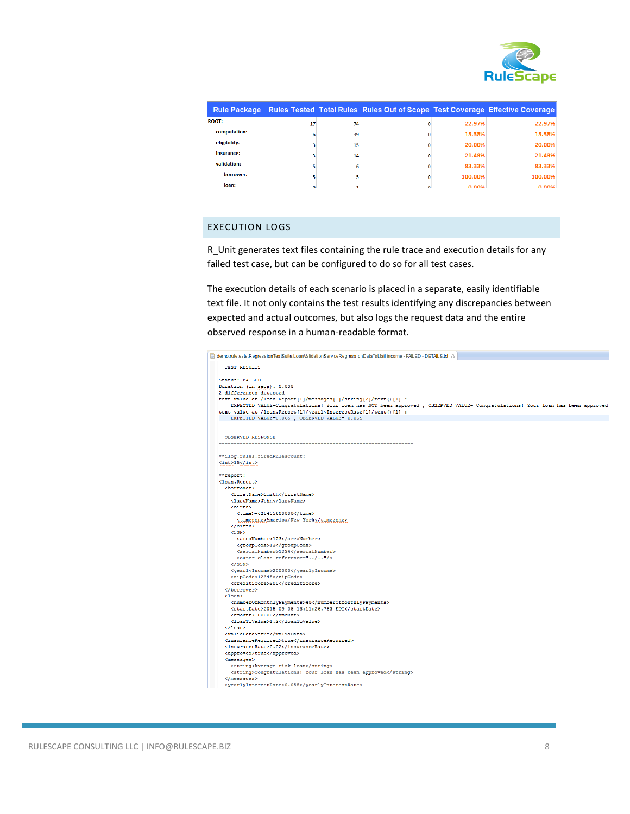

|              |              |    | Rule Package Rules Tested Total Rules Rules Out of Scope Test Coverage Effective Coverage |                   |                   |
|--------------|--------------|----|-------------------------------------------------------------------------------------------|-------------------|-------------------|
| <b>ROOT:</b> | 17           | 74 |                                                                                           | 22.97%            | 22.97%            |
| computation: | 6            | 39 |                                                                                           | 15.38%            | 15.38%            |
| eligibility: |              | 15 |                                                                                           | 20.00%            | 20.00%            |
| insurance:   |              | 14 |                                                                                           | 21.43%            | 21.43%            |
| validation:  |              |    |                                                                                           | 83.33%            | 83.33%            |
| borrower:    |              |    |                                                                                           | 100.00%           | 100.00%           |
| loan:        | $\mathbf{r}$ |    |                                                                                           | n nn <sub>%</sub> | n nn <sub>%</sub> |

# EXECUTION LOGS

R\_Unit generates text files containing the rule trace and execution details for any failed test case, but can be configured to do so for all test cases.

The execution details of each scenario is placed in a separate, easily identifiable text file. It not only contains the test results identifying any discrepancies between expected and actual outcomes, but also logs the request data and the entire observed response in a human-readable format.

| demo.ruletests.RegressionTestSuite.LoanValidationServiceRegressionDataTst.fail income - FAILED - DETAILS.txt $\%$              |  |
|--------------------------------------------------------------------------------------------------------------------------------|--|
| TEST RESULTS                                                                                                                   |  |
| --------------<br>Status: FAILED                                                                                               |  |
| Duration (in secs): 0.038                                                                                                      |  |
| 2 differences detected                                                                                                         |  |
| text value at /loan. Report [1]/messages [1]/string [2]/text () [1] :                                                          |  |
| EXPECTED VALUE=Congratulations! Your loan has NOT been approved , OBSERVED VALUE= Congratulations! Your loan has been approved |  |
| text value at /loan. Report [1] / yearly Interest Rate [1] / text () [1] :                                                     |  |
| EXPECTED VALUE=0.065, OBSERVED VALUE= 0.055                                                                                    |  |
|                                                                                                                                |  |
| <b>OBSERVED RESPONSE</b>                                                                                                       |  |
|                                                                                                                                |  |
| **ilog.rules.firedRulesCount:                                                                                                  |  |
| $\langle$ int>15                                                                                                               |  |
| **report:                                                                                                                      |  |
| <loan.report></loan.report>                                                                                                    |  |
| <borrower></borrower>                                                                                                          |  |
| <firstname>Smith</firstname>                                                                                                   |  |
| <lastname>John</lastname>                                                                                                      |  |
|                                                                                                                                |  |
| <time>-628455600000</time>                                                                                                     |  |
| <timezone>America/New York</timezone>                                                                                          |  |
|                                                                                                                                |  |
| $<$ SSN $>$                                                                                                                    |  |
| <areanumber>123</areanumber>                                                                                                   |  |
| <groupcode>12</groupcode>                                                                                                      |  |
| <serialnumber>1234</serialnumber>                                                                                              |  |
| <outer-class reference="/"></outer-class>                                                                                      |  |
| $SSN>$                                                                                                                         |  |
| <yearlyincome>200000</yearlyincome>                                                                                            |  |
| <zipcode>12345</zipcode>                                                                                                       |  |
| <creditscore>200</creditscore>                                                                                                 |  |
|                                                                                                                                |  |
| $1can>$                                                                                                                        |  |
| <numberofmonthlypayments>48</numberofmonthlypayments>                                                                          |  |
| <startdate>2015-09-05 13:11:26.763 EDT</startdate>                                                                             |  |
| <amount>100000</amount>                                                                                                        |  |
| <loantovalue>1.2</loantovalue>                                                                                                 |  |
| $\langle$ /loan>                                                                                                               |  |
| <validdata>true</validdata>                                                                                                    |  |
| <insurancerequired>true</insurancerequired>                                                                                    |  |
| <insurancerate>0.02</insurancerate>                                                                                            |  |
| <approved>true</approved>                                                                                                      |  |
| $messages$                                                                                                                     |  |
| <string>Average risk loan</string>                                                                                             |  |
| <string>Congratulations! Your loan has been approved</string>                                                                  |  |
|                                                                                                                                |  |
|                                                                                                                                |  |
| $\langle$ /messages><br><yearlyinterestrate>0.055</yearlyinterestrate>                                                         |  |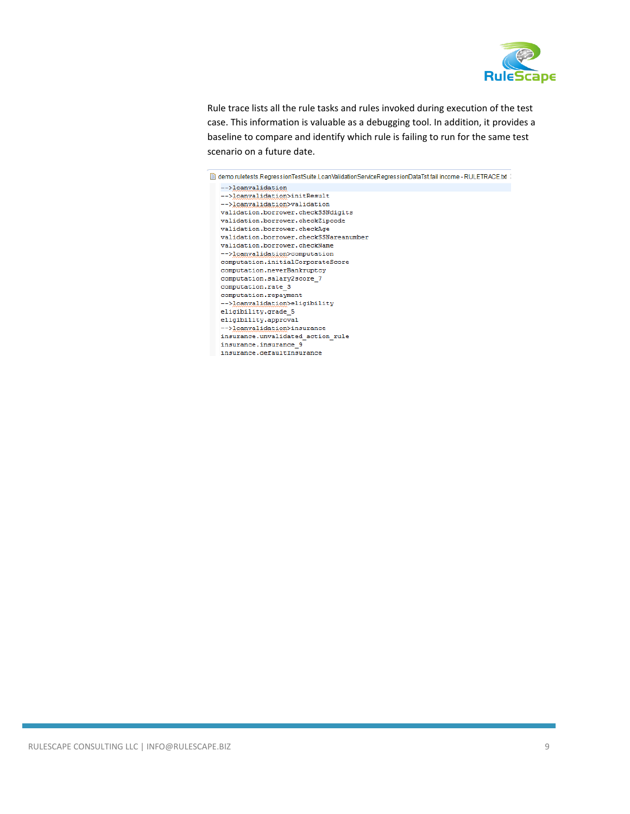

Rule trace lists all the rule tasks and rules invoked during execution of the test case. This information is valuable as a debugging tool. In addition, it provides a baseline to compare and identify which rule is failing to run for the same test scenario on a future date.

demo.ruletests.RegressionTestSuite.LoanValidationServiceRegressionDataTst.fail income - RULETRACE.txt -->loanvalidation -->loanvalidation>initResult -->loanvalidation>validation validation.borrower.checkSSNdigits validation.borrower.checkZipcode validation.borrower.checkAge validation.borrower.checkSSNareanumber validation.borrower.checkName -->loanvalidation>computation computation.initialCorporateScore computation.neverBankruptcy computation.salary2score\_7 computation.rate 3 computation.repayment -->loanvalidation>eligibility  $\texttt{eligibility.grade\_5}$ eligibility.approval -->loanvalidation>insurance insurance.unvalidated\_action\_rule insurance.insurance\_9 insurance.defaultInsurance